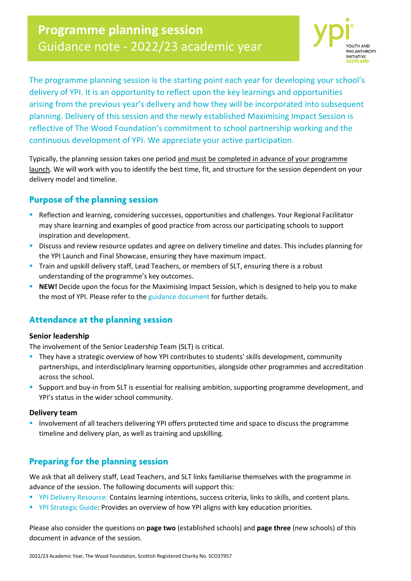# **Programme planning session**  Guidance note - 2022/23 academic year



The programme planning session is the starting point each year for developing your school's delivery of YPI. It is an opportunity to reflect upon the key learnings and opportunities arising from the previous year's delivery and how they will be incorporated into subsequent planning. Delivery of this session and the newly established Maximising Impact Session is reflective of The Wood Foundation's commitment to school partnership working and the continuous development of YPI. We appreciate your active participation.

Typically, the planning session takes one period and must be completed in advance of your programme launch. We will work with you to identify the best time, fit, and structure for the session dependent on your delivery model and timeline.

## **Purpose of the planning session**

- **EXECTEDER IN A Reflection and learning, considering successes, opportunities and challenges. Your Regional Facilitator** may share learning and examples of good practice from across our participating schools to support inspiration and development.
- Discuss and review resource updates and agree on delivery timeline and dates. This includes planning for the YPI Launch and Final Showcase, ensuring they have maximum impact.
- **•** Train and upskill delivery staff, Lead Teachers, or members of SLT, ensuring there is a robust understanding of the programme's key outcomes.
- **EXEM!** Decide upon the focus for the Maximising Impact Session, which is designed to help you to make the most of YPI. Please refer to the [guidance document](https://ypiscotland.org.uk/wp-content/uploads/Maximising_Impact_session_guidance.pdf) for further details.

# **Attendance at the planning session**

#### **Senior leadership**

The involvement of the Senior Leadership Team (SLT) is critical.

- **·** They have a strategic overview of how YPI contributes to students' skills development, community partnerships, and interdisciplinary learning opportunities, alongside other programmes and accreditation across the school.
- **EX Support and buy-in from SLT is essential for realising ambition, supporting programme development, and** YPI's status in the wider school community.

#### **Delivery team**

**E** Involvement of all teachers delivering YPI offers protected time and space to discuss the programme timeline and delivery plan, as well as training and upskilling.

### **Preparing for the planning session**

We ask that all delivery staff, Lead Teachers, and SLT links familiarise themselves with the programme in advance of the session. The following documents will support this:

- [YPI Delivery Resource:](https://ypiscotland.org.uk/wp-content/uploads/YPI_Delivery_Resource.pdf) Contains learning intentions, success criteria, links to skills, and content plans.
- [YPI Strategic Guide:](https://ypiscotland.org.uk/wp-content/uploads/YPI_Strategic_Resource.pdf) Provides an overview of how YPI aligns with key education priorities.

Please also consider the questions on **page two** (established schools) and **page three** (new schools) of this document in advance of the session.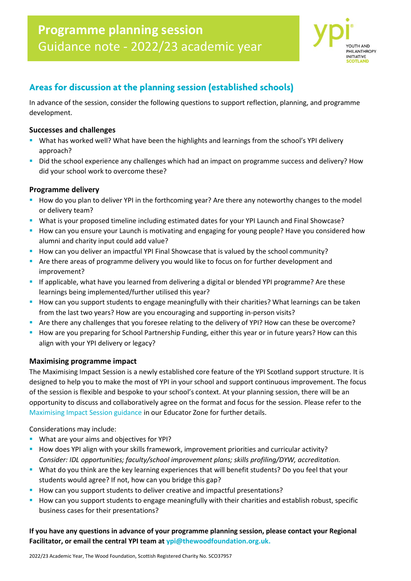

### **Areas for discussion at the planning session (established schools)**

In advance of the session, consider the following questions to support reflection, planning, and programme development.

#### **Successes and challenges**

- **E** What has worked well? What have been the highlights and learnings from the school's YPI delivery approach?
- Did the school experience any challenges which had an impact on programme success and delivery? How did your school work to overcome these?

#### **Programme delivery**

- How do you plan to deliver YPI in the forthcoming year? Are there any noteworthy changes to the model or delivery team?
- **■** What is your proposed timeline including estimated dates for your YPI Launch and Final Showcase?
- **E** How can you ensure your Launch is motivating and engaging for young people? Have you considered how alumni and charity input could add value?
- How can you deliver an impactful YPI Final Showcase that is valued by the school community?
- Are there areas of programme delivery you would like to focus on for further development and improvement?
- **EXT** If applicable, what have you learned from delivering a digital or blended YPI programme? Are these learnings being implemented/further utilised this year?
- **E** How can you support students to engage meaningfully with their charities? What learnings can be taken from the last two years? How are you encouraging and supporting in-person visits?
- Are there any challenges that you foresee relating to the delivery of YPI? How can these be overcome?
- **■** How are you preparing for School Partnership Funding, either this year or in future years? How can this align with your YPI delivery or legacy?

#### **Maximising programme impact**

The Maximising Impact Session is a newly established core feature of the YPI Scotland support structure. It is designed to help you to make the most of YPI in your school and support continuous improvement. The focus of the session is flexible and bespoke to your school's context. At your planning session, there will be an opportunity to discuss and collaboratively agree on the format and focus for the session. Please refer to the [Maximising Impact Session guidance](https://ypiscotland.org.uk/wp-content/uploads/Maximising_Impact_session_guidance.pdf) in our Educator Zone for further details.

Considerations may include:

- What are your aims and objectives for YPI?
- **E** How does YPI align with your skills framework, improvement priorities and curricular activity? *Consider: IDL opportunities; faculty/school improvement plans; skills profiling/DYW, accreditation.*
- **•** What do you think are the key learning experiences that will benefit students? Do you feel that your students would agree? If not, how can you bridge this gap?
- How can you support students to deliver creative and impactful presentations?
- How can you support students to engage meaningfully with their charities and establish robust, specific business cases for their presentations?

**If you have any questions in advance of your programme planning session, please contact your Regional Facilitator, or email the central YPI team at [ypi@thewoodfoundation.org.uk.](mailto:ypi@thewoodfoundation.org.uk)**